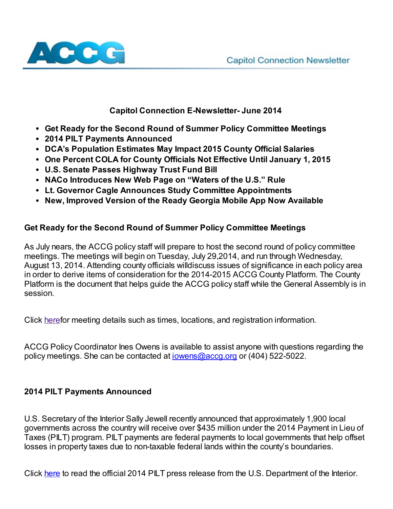

# Capitol Connection E-Newsletter- June 2014

- Get Ready for the Second Round of Summer Policy Committee Meetings
- 2014 PILT Payments Announced
- DCA's Population Estimates May Impact 2015 County Official Salaries
- One Percent COLA for County Officials Not Effective Until January 1, 2015
- U.S. Senate Passes Highway Trust Fund Bill
- NACo Introduces New Web Page on "Waters of the U.S." Rule
- Lt. Governor Cagle Announces Study Committee Appointments
- New, Improved Version of the Ready Georgia Mobile App Now Available

## Get Ready for the Second Round of Summer Policy Committee Meetings

As July nears, the ACCG policy staff will prepare to host the second round of policy committee meetings. The meetings will begin on Tuesday, July 29,2014, and run through Wednesday, August 13, 2014. Attending county officials willdiscuss issues of significance in each policy area in order to derive items of consideration for the 2014-2015 ACCG County Platform. The County Platform is the document that helps guide the ACCG policy staff while the General Assembly is in session.

Click [heref](http://www.accg.org/content.asp?ContentId=2174)or meeting details such as times, locations, and registration information.

ACCG Policy Coordinator Ines Owens is available to assist anyone with questions regarding the policy meetings. She can be contacted at *jowens@accq.org* or (404) 522-5022.

#### 2014 PILT Payments Announced

U.S. Secretary of the Interior Sally Jewell recently announced that approximately 1,900 local governments across the country will receive over \$435 million under the 2014 Payment in Lieu of Taxes (PILT) program. PILT payments are federal payments to local governments that help offset losses in property taxes due to non-taxable federal lands within the county's boundaries.

Click [here](http://www.doi.gov/news/pressreleases/secretary-jewell-announces-pilt-payments.cfm) to read the official 2014 PILT press release from the U.S. Department of the Interior.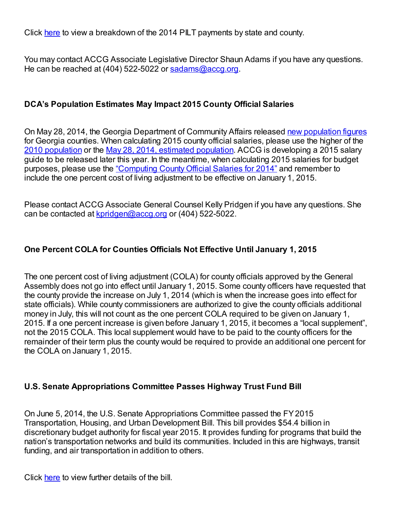Click [here](http://www.doi.gov/pilt/county-payments.cfm?term=county&state_code=GA&fiscal_yr=2014&as_sfid=AAAAAAWJrPn4ZNjFsg3yvV05HCWOQm%2FW14cpCCx7hLWUQJHneAT%2FL0cap3BQJEjpGS0DWtFvfS1o52inln44%2FImGOmmA2dJO60QXJeqq%2FA%2F9Hrw%2Bqw%3D%3D&as_fid=3KyGwy7ILtAsCxUHdXQP) to view a breakdown of the 2014 PILT payments by state and county.

You may contact ACCG Associate Legislative Director Shaun Adams if you have any questions. He can be reached at (404) 522-5022 or [sadams@accg.org.](mailto:sadams@accg.org)

### DCA's Population Estimates May Impact 2015 County Official Salaries

On May 28, 2014, the Georgia Department of Community Affairs released new [population](http://www.dca.state.ga.us/development/Research/documents/LIST-Web-E-AllGovernmentsByTypew_POP_001.pdf) figures for Georgia counties. When calculating 2015 county official salaries, please use the higher of the 2010 [population](http://www.accg.org/library/2010%20Census-Georgia.pdf) or the May 28, 2014, estimated [population.](http://www.dca.state.ga.us/development/Research/documents/LIST-Web-E-AllGovernmentsByTypew_POP_001.pdf) ACCG is developing a 2015 salary guide to be released later this year. In the meantime, when calculating 2015 salaries for budget purposes, please use the ["Computing](http://www.accg.org/library/salary_guide.pdf) County Official Salaries for 2014" and remember to include the one percent cost of living adjustment to be effective on January 1, 2015.

Please contact ACCG Associate General Counsel Kelly Pridgen if you have any questions. She can be contacted at [kpridgen@accg.org](mailto:kpridgen@accg.org) or (404) 522-5022.

## One Percent COLA for Counties Officials Not Effective Until January 1, 2015

The one percent cost of living adjustment (COLA) for county officials approved by the General Assembly does not go into effect until January 1, 2015. Some county officers have requested that the county provide the increase on July 1, 2014 (which is when the increase goes into effect for state officials). While county commissioners are authorized to give the county officials additional money in July, this will not count as the one percent COLA required to be given on January 1, 2015. If a one percent increase is given before January 1, 2015, it becomes a "local supplement", not the 2015 COLA. This local supplement would have to be paid to the county officers for the remainder of their term plus the county would be required to provide an additional one percent for the COLA on January 1, 2015.

#### U.S. Senate Appropriations Committee Passes Highway Trust Fund Bill

On June 5, 2014, the U.S. Senate Appropriations Committee passed the FY2015 Transportation, Housing, and Urban Development Bill. This bill provides \$54.4 billion in discretionary budget authority for fiscal year 2015. It provides funding for programs that build the nation's transportation networks and build its communities. Included in this are highways, transit funding, and air transportation in addition to others.

Click [here](http://www.naco.org/legislation/WW/Lists/Posts/Post.aspx?List=7b3c6e0a-dc7d-47e9-a7d7-e3c49b794533&ID=829&Source=%2Flegislation%2FWW%2Fdefault.aspx&Web=5cfea8e1-88b1-4483-824c-7583a8c42009) to view further details of the bill.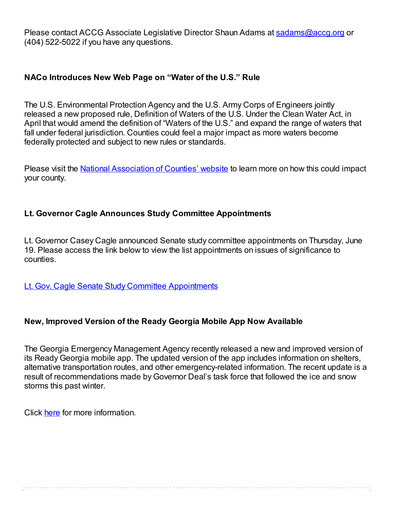Please contact ACCG Associate Legislative Director Shaun Adams at [sadams@accg.org](mailto:sadams@accg.org) or (404) 522-5022 if you have any questions.

#### NACo Introduces New Web Page on "Water of the U.S." Rule

The U.S. Environmental Protection Agency and the U.S. Army Corps of Engineers jointly released a new proposed rule, Definition of Waters of the U.S. Under the Clean Water Act, in April that would amend the definition of "Waters of the U.S." and expand the range of waters that fall under federal jurisdiction. Counties could feel a major impact as more waters become federally protected and subject to new rules or standards.

Please visit the National [Association](http://www.naco.org/legislation/Pages/WOUS.aspx) of Counties' website to learn more on how this could impact your county.

# Lt. Governor Cagle Announces Study Committee Appointments

Lt. Governor Casey Cagle announced Senate study committee appointments on Thursday, June 19. Please access the link below to view the list appointments on issues of significance to counties.

Lt. Gov. Cagle Senate Study Committee [Appointments](http://www.accg.org/library/2014_06_20_Cagle%20Study%20Committee%20Appointments.pdf)

#### New, Improved Version of the Ready Georgia Mobile App Now Available

The Georgia Emergency Management Agency recently released a new and improved version of its Ready Georgia mobile app. The updated version of the app includes information on shelters, alternative transportation routes, and other emergency-related information. The recent update is a result of recommendations made by Governor Deal's task force that followed the ice and snow storms this past winter.

Click [here](http://www.ready.ga.gov/) for more information.